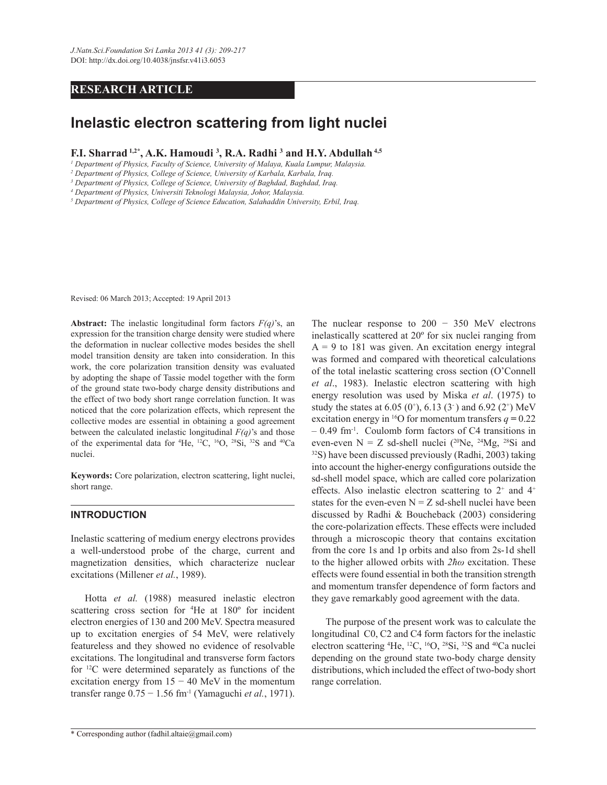## **RESEARCH ARTICLE**

# **Inelastic electron scattering from light nuclei**

**F.I. Sharrad 1,2\*, A.K. Hamoudi <sup>3</sup> , R.A. Radhi <sup>3</sup> and H.Y. Abdullah 4,5**

*1 Department of Physics, Faculty of Science, University of Malaya, Kuala Lumpur, Malaysia.*

*2 Department of Physics, College of Science, University of Karbala, Karbala, Iraq.*

*3 Department of Physics, College of Science, University of Baghdad, Baghdad, Iraq.*

*4 Department of Physics, Universiti Teknologi Malaysia, Johor, Malaysia.*

*5 Department of Physics, College of Science Education, Salahaddin University, Erbil, Iraq.*

Revised: 06 March 2013; Accepted: 19 April 2013

**Abstract:** The inelastic longitudinal form factors *F(q)*'s, an expression for the transition charge density were studied where the deformation in nuclear collective modes besides the shell model transition density are taken into consideration. In this work, the core polarization transition density was evaluated by adopting the shape of Tassie model together with the form of the ground state two-body charge density distributions and the effect of two body short range correlation function. It was noticed that the core polarization effects, which represent the collective modes are essential in obtaining a good agreement between the calculated inelastic longitudinal *F(q)*'s and those of the experimental data for <sup>4</sup>He, <sup>12</sup>C, <sup>16</sup>O, <sup>28</sup>Si, <sup>32</sup>S and <sup>40</sup>Ca nuclei.

**Keywords:** Core polarization, electron scattering, light nuclei, short range.

### **INTRODUCTION**

Inelastic scattering of medium energy electrons provides a well-understood probe of the charge, current and magnetization densities, which characterize nuclear excitations (Millener *et al.*, 1989).

 Hotta *et al.* (1988) measured inelastic electron scattering cross section for <sup>4</sup>He at 180º for incident electron energies of 130 and 200 MeV. Spectra measured up to excitation energies of 54 MeV, were relatively featureless and they showed no evidence of resolvable excitations. The longitudinal and transverse form factors for <sup>12</sup>C were determined separately as functions of the excitation energy from  $15 - 40$  MeV in the momentum transfer range 0.75 − 1.56 fm-1 (Yamaguchi *et al.*, 1971).

The nuclear response to  $200 - 350$  MeV electrons inelastically scattered at 20º for six nuclei ranging from  $A = 9$  to 181 was given. An excitation energy integral was formed and compared with theoretical calculations of the total inelastic scattering cross section (O'Connell *et al*., 1983). Inelastic electron scattering with high energy resolution was used by Miska *et al*. (1975) to study the states at 6.05  $(0^{\circ})$ , 6.13  $(3^{\circ})$  and 6.92  $(2^{\circ})$  MeV excitation energy in <sup>16</sup>O for momentum transfers  $q = 0.22$ – 0.49 fm-1. Coulomb form factors of C4 transitions in even-even  $N = Z$  sd-shell nuclei (<sup>20</sup>Ne, <sup>24</sup>Mg, <sup>28</sup>Si and <sup>32</sup>S) have been discussed previously (Radhi, 2003) taking into account the higher-energy configurations outside the sd-shell model space, which are called core polarization effects. Also inelastic electron scattering to  $2^+$  and  $4^+$ states for the even-even  $N = Z$  sd-shell nuclei have been discussed by Radhi & Boucheback (2003) considering the core-polarization effects. These effects were included through a microscopic theory that contains excitation from the core 1s and 1p orbits and also from 2s-1d shell to the higher allowed orbits with *2ħω* excitation. These effects were found essential in both the transition strength and momentum transfer dependence of form factors and they gave remarkably good agreement with the data.

 The purpose of the present work was to calculate the longitudinal C0, C2 and C4 form factors for the inelastic electron scattering  ${}^{4}$ He,  ${}^{12}$ C,  ${}^{16}$ O,  ${}^{28}$ Si,  ${}^{32}$ S and  ${}^{40}$ Ca nuclei depending on the ground state two-body charge density distributions, which included the effect of two-body short range correlation.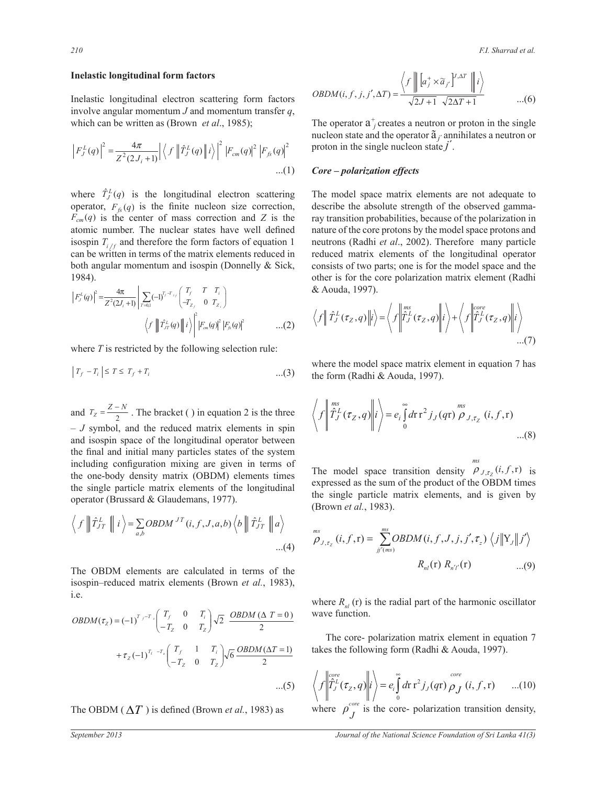#### *210 F.I. Sharrad et al.*

### **Inelastic longitudinal form factors**

Inelastic longitudinal electron scattering form factors involve angular momentum *J* and momentum transfer *q*, which can be written as (Brown *et al*., 1985);

$$
\left| F_J^L(q) \right|^2 = \frac{4\pi}{Z^2(2J_i+1)} \left| \left\langle f \left| \hat{T}_J^L(q) \right| \right| i \right\rangle^2 \left| F_{cm}(q) \right|^2 \left| F_{fs}(q) \right|^2
$$
...(1)

is the center of mass correction and  $Z$  is the atomic number. The nuclear states have well defined both angular momentum and isospin (Donnelly & Sick, where  $\hat{T}_J^L(q)$  is the longitudinal electron scattering operator,  $F_{fs}(q)$  is the finite nucleon size correction, can be written in terms of the matrix elements reduced in 1984).  $F_{cm}(q)$  is the center of mass correction and *Z* is the isospin  $T_i$  and therefore the form factors of equation 1

$$
\left| F_{J}^{L}(q) \right|^{2} = \frac{4\pi}{Z^{2}(2J_{i}+1)} \left| \sum_{r=0,1} (-1)^{T_{j}-T_{z_{j}}} \begin{pmatrix} T_{j} & T & T_{i} \\ -T_{Z_{j}} & 0 & T_{Z_{i}} \end{pmatrix} \right|
$$

$$
\left\langle f \left| \left| \int_{T_{J}}^{T_{L}}(q) \right| \right| i \right\rangle \left| F_{cm}(q) \right|^{2} \left| F_{\beta}(q) \right|^{2} \qquad \dots (2)
$$

where  $T$  is restricted by the following selection rule:

$$
\left|T_f - T_i\right| \le T \le T_f + T_i \tag{3}
$$

 $\mathbf{R}$ d  $T_Z = \frac{Z - N}{2}$ . The bracket () and isospin space of the longitudinal operator between<br>the final and initial many particles states of the system the one-body density matrix (OBDM) elements times including configuration mixing are given in terms of and isospin space of the longitudinal operator between  $-$  *J* symbol, and the reduced matrix elements in spin the single particle matrix elements of the<br>operator (Brussard & Glaudemans, 1977).  $\ddot{\phantom{0}}$ 2 <sup>2</sup> and  $T_Z = \frac{Z - Z}{2}$  $T_Z = \frac{Z - N}{2}$ . The bracket ( ) in equation 2 is the three the single particle matrix elements of the longitudinal

$$
\langle f \parallel \hat{T}_{JT}^{L} \parallel i \rangle = \sum_{a,b} OBDM^{JT}(i, f, J, a, b) \langle b \parallel \hat{T}_{JT}^{L} \parallel a \rangle
$$
...(4)

The OBDM elements are calculated i isospin-reduced matrix elements (Brown et  $\frac{150}{10}$  $i.e.$ isospin–reduced matrix elements (Brown *et al.*, 1983), The OBDM elements are calculated in terms of the

$$
OBDM(\tau_z) = (-1)^{T_f - T_z} \begin{pmatrix} T_f & 0 & T_i \\ -T_z & 0 & T_z \end{pmatrix} \sqrt{2} \begin{pmatrix} \frac{OBDM(\Delta T = 0)}{2} & \text{wave function} \\ 2 & \text{time} \\ 2 & \text{time} \end{pmatrix}
$$
  
+ $\tau_z$ (-1)<sup>T\_f - T\_z</sup>  $\begin{pmatrix} T_f & 1 & T_i \\ -T_z & 0 & T_z \end{pmatrix} \sqrt{6} \frac{OBDM(\Delta T = 1)}{2}$  takes the  
...(5)  $\sqrt{\int_{0}^{10} \hat{T}_f^L(\hat{T}) d\hat{T}_f^L(\hat{T})}$ 

 $\frac{1}{2}$  (Decree  $\frac{1}{2}$  $\mathbf{I}$  ) is  $\mathbf{I}$  $\sum_{i=1}^{n}$ The OBDM ( $\Delta T$ ) is defined (Brown *et al.*, 1983) as

R <sup>T</sup> R <sup>T</sup> R <sup>T</sup> 

$$
OBDM(i, f, j, j', \Delta T) = \frac{\left\langle f \left\| \left[ a_j^+ \times \widetilde{a}_{j'} \right]^{j, \Delta T} \right\| i \right\rangle}{\sqrt{2J+1} \sqrt{2\Delta T+1}} \qquad \qquad ...(6)
$$

proton in the single nucleon state  $j'$ . The operator  $a_j^+$  creates a neutron or proton in the single nucleon state and the operator ã *j´* annihilates a neutron or

## *Core – polarization effects*

The model space matrix elements are not adequate to describe the absolute strength of the observed gammaray transition probabilities, because of the polarization in nature of the core protons by the model space protons and neutrons (Radhi *et al.*, 2002). Therefore many particle reduced matrix elements of the longitudinal operator consists of two parts; one is for the model space and the other is for the core polarization matrix element (Radhi & Aouda, 1997). **Theref** 

$$
\left\langle f \middle| \hat{T}_J^L(\tau_z, q) \middle| i \right\rangle = \left\langle f \middle| \hat{T}_J^{ms}(\tau_z, q) \middle| i \right\rangle + \left\langle f \middle| \hat{T}_J^{core}(\tau_z, q) \middle| i \right\rangle \dots (7)
$$

where the model space matrix element in equation 7 has the form (Radhi & Aouda, 1997).

$$
\left\langle f \left| \int_{J}^{ms} (\tau_Z, q) \right| i \right\rangle = e_i \int_{0}^{\infty} d\tau \, \tau^2 f_J(q\tau) \stackrel{ms}{\rho} \int_{J, \tau_Z} (i, f, \tau) \quad ...(8)
$$

The model space transition density  $\rho_{J,\tau_Z}(i,f,\mathbf{r})$  is (Brown *et al.*, 1983). *ms* expressed as the sum of the product of the OBDM times the single particle matrix elements, and is given by  $\frac{1}{\text{sgn} \cdot \text{sgn} \cdot \text{sgn} \cdot \text{sgn} \cdot \text{sgn} \cdot \text{sgn} \cdot \text{sgn} \cdot \text{sgn} \cdot \text{sgn} \cdot \text{sgn} \cdot \text{sgn} \cdot \text{sgn} \cdot \text{sgn} \cdot \text{sgn} \cdot \text{sgn} \cdot \text{sgn} \cdot \text{sgn} \cdot \text{sgn} \cdot \text{sgn} \cdot \text{sgn} \cdot \text{sgn} \cdot \text{sgn} \cdot \text{sgn} \cdot \text{sgn} \cdot \text{sgn} \cdot \text{sgn} \cdot \text{sgn} \$ 

$$
\lim_{(i,j)\to\infty} \int_{\mathcal{O}_{J,\tau_{\mathcal{I}}}}^{\mathcal{O}_{\mathcal{I}}}\left(i,f,r\right) = \sum_{j\in\mathcal{I}}^{m}\mathcal{O}\mathcal{B}D\mathcal{M}(i,f,J,j,j',\tau_{z})\left\langle j\middle|Y_{j}\middle|j'\right\rangle
$$
\n
$$
\text{ulated in terms of the}
$$
\n
$$
R_{nl}(\mathbf{r})\,R_{n'l}(\mathbf{r})\qquad\qquad\dots(9)
$$

 $\frac{1}{\sqrt{2}}$ wave function. where  $R_{nl}$  (r) is the radial part of the harmonic oscillator  $R$  and  $R$  and  $R$  and  $R$  and  $R$  and  $R$  and  $R$  and  $R$  and  $R$  and  $R$  and  $R$  and  $R$  and  $R$  and  $R$  and  $R$  and  $R$  and  $R$  and  $R$  and  $R$  and  $R$  and  $R$  and  $R$  and  $R$  and  $R$  and  $R$  and  $R$  and  $R$  and  $R$  a

takes the following form (Radhi & Aouda, 1997). The core- polarization matrix element in equation 7

$$
\left\langle f \left\| \hat{T}_J^{core}(\tau_Z, q) \right\| i \right\rangle = e_i \int_0^{\infty} dr \, r^2 j_J(qr) \, \rho_J \, (i, f, r) \qquad ...(10)
$$

re core- poiarizain where  $\sigma^{\text{core}}$  is the core-nolariz where  $\rho^c$  $J$  is the core- polarization transition density,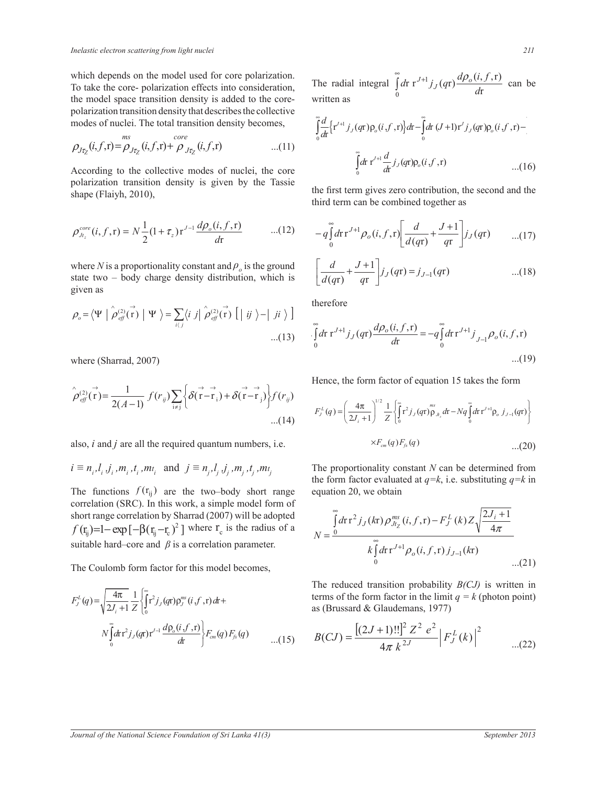which depends on the model used for core polarization. To take the core-polarization effects into consideration, the model space transition density is added to the corepolarization transition density that describes the collective modes of nuclei. The total transition density becomes,

$$
\rho_{J\tau_Z}(i,f,\mathbf{r}) = \rho_{J\tau_Z}(i,f,\mathbf{r}) + \rho_{J\tau_Z}(i,f,\mathbf{r}) \qquad ...(11)
$$

2 *d*r polarization transition density is given by the Tassie shape (Flaiyh, 2010),

$$
\rho_{Jt_z}^{core}(i, f, r) = N \frac{1}{2} (1 + \tau_z) r^{J-1} \frac{d\rho_o(i, f, r)}{dr} \qquad ...(12) \qquad -q \int_0^\infty dt
$$

where *N* is a proportionality constant and  $\rho$ <sub>*o*</sub> is the ground  $\Box$  $\mathbf{r}$  is the matrix of  $\mathbf{r}$  in the matrix of  $\mathbf{r}$ R 9 R 9 R state two – body charge density distribution, which is given as  $\mathbf{r}$   $\mathbf{r}$   $\mathbf{r}$   $\mathbf{r}$   $\mathbf{r}$ 

$$
\rho_o = \langle \Psi \mid \hat{\rho}_{\text{eff}}^{(2)}(\vec{r}) \mid \Psi \rangle = \sum_{i \langle j} \langle i j \mid \hat{\rho}_{\text{eff}}^{(2)}(\vec{r}) \left[ \mid ij \rangle - \mid ji \rangle \right] \tag{13}
$$

 $\overline{a}$ where (Sharrad, 2007)

$$
\hat{\rho}_{\text{eff}}^{(2)}(\vec{r}) = \frac{1}{2(A-1)} f(r_{ij}) \sum_{i \neq j} \left\{ \delta(\vec{r} - \vec{r}_i) + \delta(\vec{r} - \vec{r}_j) \right\} f(r_{ij})
$$
\n
$$
\dots (14)
$$
\n
$$
\dots (14)
$$

also, *i* and *j* are all the required quantum numbers, i.e.  $\times F_{cm}(q)F_{fs}(q)$ 

$$
i \equiv n_{i}, l_{i}, j_{i}, m_{i}, t_{i}, m_{t_{i}}
$$
 and  $j \equiv n_{j}, l_{j}, j_{j}, m_{j}, t_{j}, m_{t_{j}}$ 

The functions  $f(r_{ij})$  are the two–body short range eq short range correlation by Sharrad (2007) will be adopted suitable hard–core and  $\beta$  is a correlation parameter. correlation (SRC). In this work, a simple model form of  $f(r_{ij})=1-\exp[-\beta(r_{ij}-r_{c})^{2}]$  where  $r_{c}$  is the radius of a

The Coulomb form factor for this model becomes,

d d d R 2 0 4 1 ( ) r ( r) ( , ,r) r r r ( r)r 2 1 *L ms J J J i F q j q i f d N d j q J Z* d d P R R R 2 1 0 ( , ,r) r ( r) ( , ,r) r r r ( r)r ( ) ( ) r *J o J cm fs d i f j q i f d N d j q F q F q d* d d P R - R ...(15)

The radial integral  $\int_0^1 dr \, r^{J+1} j_J(qr) \frac{d\phi_0(r)}{dr}$ r r<sup>J+1</sup>j<sub>J</sub>(qr) $\frac{d\rho_o(i,f,\mathbf{r})}{d}$  $\begin{array}{ccc} \n0 & & \n\end{array}$   $\begin{array}{ccc} \n\end{array}$  d  $\int d^2r \, r^{J+1} j_J(qr) \frac{d\rho_o(i, f, r)}{dr}$  can be written as radial integral  $\int_{0}^{\infty} dr \, r^{J+1} j_J(qr) \frac{d\rho_0(i, f, r)}{dr}$  can l  $\sum_{i=1}^{n} a_i$ 

modes of nuclei. The total transition density becomes,  
\n
$$
\int_{0}^{\infty} \frac{d}{dt} \{r^{j+1} j_{j}(q\tau) \rho_{o}(i, f, \tau) \} d\tau - \int_{0}^{\infty} dt (J+1) r^{j} j_{j}(q\tau) \rho_{o}(i, f, \tau) -
$$
\n
$$
\rho_{J\tau_{Z}}(i, f, \tau) = \rho_{J\tau_{Z}}(i, f, \tau) + \rho_{J\tau_{Z}}(i, f, \tau) \qquad ...(11)
$$
\nAccording to the collective modes of nuclei, the core\n
$$
\int_{0}^{\infty} dr \, r^{j+1} \frac{d}{dt} j_{j}(q\tau) \rho_{o}(i, f, \tau) \qquad ...(16)
$$

the first term gives zero contribution, the second and the  $\frac{d}{dt}$ third term can be combined together as

$$
-q\int_{0}^{\infty}d\mathbf{r} \, \mathbf{r}^{J+1} \rho_o(i, f, \mathbf{r}) \bigg[\frac{d}{d(q\mathbf{r})} + \frac{J+1}{q\mathbf{r}}\bigg] j_J(q\mathbf{r}) \qquad \dots (17)
$$

$$
\text{tant and } \rho_o \text{ is the ground} \qquad \left[ \frac{d}{d(q\mathbf{r})} + \frac{J+1}{q\mathbf{r}} \right] j_J(q\mathbf{r}) = j_{J-1}(q\mathbf{r}) \qquad \qquad \dots (18)
$$

therefore  $\frac{1}{2}$ 

$$
\int_{0}^{\infty} d\mathbf{r} \, \mathbf{r}^{J+1} j_{J}(q\mathbf{r}) \frac{d\rho_{o}(i, f, \mathbf{r})}{d\mathbf{r}} = -q \int_{0}^{\infty} d\mathbf{r} \, \mathbf{r}^{J+1} j_{J-1} \rho_{o}(i, f, \mathbf{r})
$$
...(19)

 $r_{\text{r}}$  reads the form fector of equation  $\frac{1}{r}$  $r_{\text{V}}$  requested in the form  $r_{\text{V}}$  and  $r_{\text{V}}$  and  $r_{\text{V}}$  and  $r_{\text{V}}$ Hence, the form factor of equation 15 takes the form

$$
(14) \tF_{J}^{L}(q) = \left(\frac{4\pi}{2J_{i}+1}\right)^{1/2} \frac{1}{Z} \left\{\int_{0}^{\pi} r^{2} j_{J}(qr) \rho_{J_{L}} dr - Nq \int_{0}^{T} dr \, r'^{1} \rho_{o} \, j_{J-1}(qr) \right\}
$$
\nquantum numbers, i.e.  $\times F_{cm}(q) F_{fs}(q)$ ...(20)

lity co<mark>i</mark> d at  $a=k$  i e The proportionality constant  $N$  can be determined from the form factor evaluated at  $q=k$ , i.e. substituting  $q=k$  in equation 20, we obtain

$$
N = \frac{\int_{0}^{\infty} d\mathbf{r} \, \mathbf{r}^2 \, j_J(k\mathbf{r}) \, \rho_{Jt_Z}^{ms}(i, f, \mathbf{r}) - F_J^L(k) \, Z \sqrt{\frac{2J_i + 1}{4\pi}}}{k \int_{0}^{\infty} d\mathbf{r} \, \mathbf{r}^{J+1} \rho_o(i, f, \mathbf{r}) \, j_{J-1}(k\mathbf{r})}
$$
...(21)

The reduced transition probability *B(CJ)* is written in terms of the form factor in the limit  $q = k$  (photon point) as (Brussard & Glaudemans, 1977)

$$
\int_{\alpha}^{\alpha-1} \frac{d\rho_o(i,f,r)}{dt} \left\{ F_{\alpha m}(q) F_{\beta}(q) \right. \qquad \dots (15) \qquad B(CJ) = \frac{\left[ (2J+1)!! \right]^2 Z^2 e^2}{4\pi k^{2J}} \left| F_J^L(k) \right|^2 \qquad \dots (22)
$$

Τ

d de la constantin de la constantin de la constantin de la constantin de la constantin de la constantin de la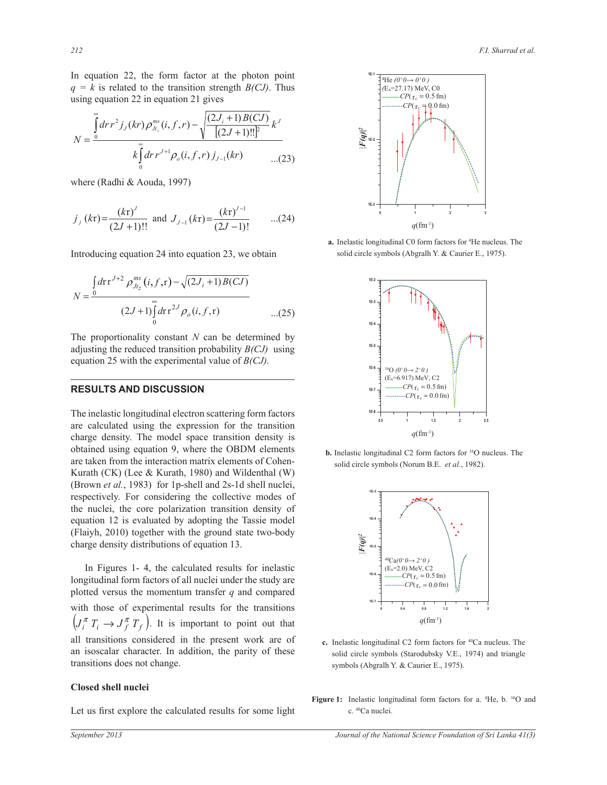In equation 22, the form factor at the photon point  $q = k$  is related to the transition strength *B(CJ)*. Thus  $\frac{1}{2}$  using equation 22 in equation 21 gives  $\frac{1}{2}$ 

$$
N = \frac{\int_{0}^{\infty} dr r^{2} j_{J}(kr) \rho_{J_{t_{z}}}^{ms}(i, f, r) - \sqrt{\frac{(2J_{i} + 1)B(CJ)}{[(2J + 1)!!]^{2}} k^{J}}}{k \int_{0}^{\infty} dr r^{J+1} \rho_{o}(i, f, r) j_{J-1}(kr) \qquad ...(23)}
$$

where (Radhi & Aouda, 1997)

$$
j_j (kr) = \frac{(kr)^j}{(2J+1)!!}
$$
 and  $J_{j-1} (kr) = \frac{(kr)^{j-1}}{(2J-1)!}$  ...(24)

Introducing equation 24 into equation 23, we obtain

$$
N = \frac{\int_{0}^{1} dr \, \mathrm{r}^{J+2} \, \rho_{Jt_{z}}^{ms} (i, f, \mathrm{r}) - \sqrt{(2J_{i} + 1)B(CJ)}}{(2J+1) \int_{0}^{\infty} dr \, \mathrm{r}^{2J} \rho_{o}(i, f, \mathrm{r})}
$$
...(25)

The proportionality constant  $N$  can be determined by adjusting the reduced transition probability  $B(CJ)$  using equation 25 with the experimental value of  $B(CJ)$ . The proportionality constant  $N$  can be determined by

÷

## RESULTS AND DIS m m **RESULTS AND DISCUSSION**  R

charge density. The model space transition density is  $m$   $(m)$  (EX) (EX) and  $m$ , 1980) and which that  $(m)$ <br>(Brown *et al.*, 1983) for 1p-shell and 2s-1d shell nuclei, equation  $\overline{12}$  is evaluated by adopting the Tassie model are calculated using the expression for the transition  $\frac{1}{2}$  b. Inelastic longitudinate taken from the interaction matrix elements of Cohen-<br>  $\frac{1}{2}$  where  $\frac{1}{2}$  are  $\frac{1}{2}$  where  $\frac{1}{2}$  and  $\frac{1}{2}$  and  $\frac{1}{2}$  and  $\frac{1}{2}$  and  $\frac{1}{2}$  and  $\frac{1}{2}$  and The inelastic longitudinal electron scattering form factors obtained using equation 9, where the OBDM elements Kurath (CK) (Lee & Kurath, 1980) and Wildenthal (W) respectively. For considering the collective modes of the nuclei, the core polarization transition density of (Flaiyh, 2010) together with the ground state two-body charge density distributions of equation 13.  $\frac{3}{2}$ 

 In Figures 1- 4, the calculated results for inelastic longitudinal form factors of all nuclei under the study are plotted versus the momentum transfer  $q$  and compared with those of experimental results for the transitions al<br>...  $\left(J_i^{\pi} T_i \rightarrow J_f^{\pi} T_f\right)$ . It is important to point out that transitions does not change. all transitions considered in the present work are of an isoscalar character. In addition, the parity of these

### **Closed shell nuclei**

Let us first explore the calculated results for some light



**a.** Inelastic longitudinal C0 form factors for <sup>4</sup>He nucleus. The solid circle symbols (Abgralh Y. & Caurier E., 1975).



**b.** Inelastic longitudinal C2 form factors for <sup>16</sup>O nucleus. The solid circle symbols (Norum B.E. *et al.*, 1982).



- **c.** Inelastic longitudinal C2 form factors for <sup>40</sup>Ca nucleus. The solid circle symbols (Starodubsky V.E., 1974) and triangle symbols (Abgralh Y. & Caurier E., 1975).
- Figure 1: Inelastic longitudinal form factors for a. <sup>4</sup>He, b. <sup>16</sup>O and c. <sup>40</sup>Ca nuclei.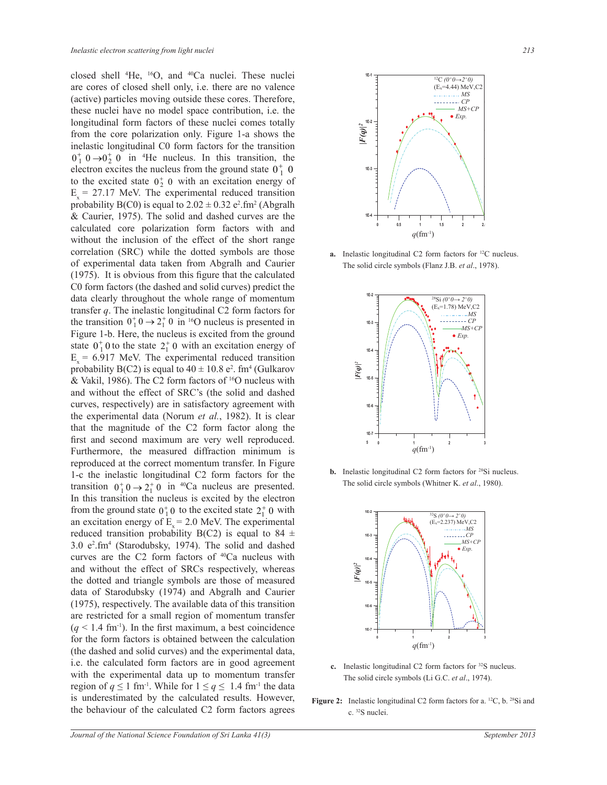closed shell <sup>4</sup>He, <sup>16</sup>O, and <sup>40</sup>Ca nuclei. These nuclei are cores of closed shell only, i.e. there are no valence (active) particles moving outside these cores. Therefore, these nuclei have no model space contribution, i.e. the longitudinal form factors of these nuclei comes totally from the core polarization only. Figure 1-a shows the inelastic longitudinal C0 form factors for the transition  $0^+$ ,  $0 \rightarrow 0^+$ ,  $0$  in <sup>4</sup>He nucleus. In this transition, the electron excites the nucleus from the ground state  $0^+_1$  0 to the excited state  $0^{\dagger}_{2}$  0 with an excitation energy of  $E_x = 27.17$  MeV. The experimental reduced transition probability  $B(C0)$  is equal to  $2.02 \pm 0.32$  e<sup>2</sup>.fm<sup>2</sup> (Abgralh & Caurier, 1975). The solid and dashed curves are the calculated core polarization form factors with and without the inclusion of the effect of the short range correlation (SRC) while the dotted symbols are those of experimental data taken from Abgralh and Caurier (1975). It is obvious from this figure that the calculated C0 form factors (the dashed and solid curves) predict the data clearly throughout the whole range of momentum transfer *q*. The inelastic longitudinal C2 form factors for the transition  $0^+_1 0 \rightarrow 2^+_1 0$  in <sup>16</sup>O nucleus is presented in Figure 1-b. Here, the nucleus is excited from the ground state  $0^+_1 0$  to the state  $2^+_1 0$  with an excitation energy of  $E_x = 6.917$  MeV. The experimental reduced transition probability B(C2) is equal to  $40 \pm 10.8$  e<sup>2</sup>. fm<sup>4</sup> (Gulkarov & Vakil, 1986). The C2 form factors of <sup>16</sup>O nucleus with and without the effect of SRC's (the solid and dashed curves, respectively) are in satisfactory agreement with the experimental data (Norum *et al.*, 1982). It is clear that the magnitude of the C2 form factor along the first and second maximum are very well reproduced. Furthermore, the measured diffraction minimum is reproduced at the correct momentum transfer. In Figure 1-c the inelastic longitudinal C2 form factors for the transition  $0^+_{1}$  0  $\rightarrow$  2<sup>+</sup><sub>1</sub></sub> 0 in <sup>40</sup>Ca nucleus are presented. In this transition the nucleus is excited by the electron from the ground state  $0^+_1 0$  to the excited state  $2^+_1 0$  with an excitation energy of  $E<sub>x</sub> = 2.0$  MeV. The experimental reduced transition probability B(C2) is equal to 84  $\pm$ 3.0 e<sup>2</sup> .fm<sup>4</sup> (Starodubsky, 1974). The solid and dashed curves are the C2 form factors of <sup>40</sup>Ca nucleus with and without the effect of SRCs respectively, whereas the dotted and triangle symbols are those of measured data of Starodubsky (1974) and Abgralh and Caurier (1975), respectively. The available data of this transition are restricted for a small region of momentum transfer  $(q < 1.4$  fm<sup>-1</sup>). In the first maximum, a best coincidence for the form factors is obtained between the calculation (the dashed and solid curves) and the experimental data, i.e. the calculated form factors are in good agreement with the experimental data up to momentum transfer region of  $q \le 1$  fm<sup>-1</sup>. While for  $1 \le q \le 1.4$  fm<sup>-1</sup> the data is underestimated by the calculated results. However, the behaviour of the calculated C2 form factors agrees



**a.** Inelastic longitudinal C2 form factors for <sup>12</sup>C nucleus. The solid circle symbols (Flanz J.B. *et al*., 1978).



**b.** Inelastic longitudinal C2 form factors for <sup>28</sup>Si nucleus. The solid circle symbols (Whitner K. *et al*., 1980).



- **c.** Inelastic longitudinal C2 form factors for <sup>32</sup>S nucleus. The solid circle symbols (Li G.C. *et al*., 1974).
- Figure 2: Inelastic longitudinal C2 form factors for a. <sup>12</sup>C, b. <sup>28</sup>Si and c. <sup>32</sup>S nuclei.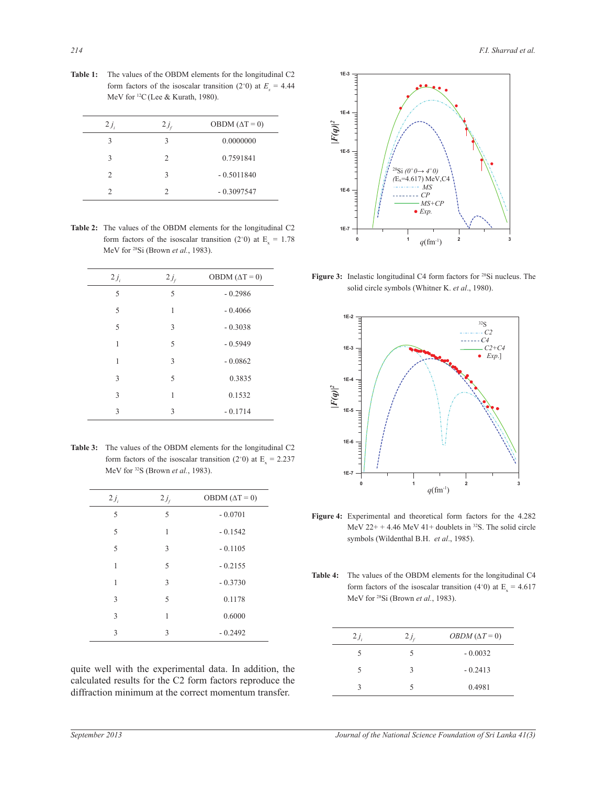| $2j_i$        | $2j_{\rm r}$   | OBDM $(\Delta T = 0)$ |
|---------------|----------------|-----------------------|
| 3             | 3              | 0.0000000             |
| 3             | $\mathfrak{D}$ | 0.7591841             |
| $\mathcal{D}$ | 3              | $-0.5011840$          |
| 2             | 2              | $-0.3097547$          |

**Table 1:** The values of the OBDM elements for the longitudinal C2 form factors of the isoscalar transition (2<sup>+</sup>0) at  $E_x = 4.44$ MeV for <sup>12</sup>C(Lee & Kurath, 1980).

**Table 2:** The values of the OBDM elements for the longitudinal C2 form factors of the isoscalar transition (2<sup>+</sup>0) at  $E_x = 1.78$ MeV for <sup>28</sup>Si (Brown *et al.*, 1983).

| $2j_i$ | $2j_f$ | OBDM $(\Delta T = 0)$ |
|--------|--------|-----------------------|
| 5      | 5      | $-0.2986$             |
| 5      | 1      | $-0.4066$             |
| 5      | 3      | $-0.3038$             |
| 1      | 5      | $-0.5949$             |
| 1      | 3      | $-0.0862$             |
| 3      | 5      | 0.3835                |
| 3      | 1      | 0.1532                |
| 3      | 3      | $-0.1714$             |

**Table 3:** The values of the OBDM elements for the longitudinal C2 form factors of the isoscalar transition (2<sup>+</sup>0) at  $E<sub>x</sub> = 2.237$ MeV for <sup>32</sup>S (Brown *et al.*, 1983).

| $2j_i$ | $2j_f$ | OBDM $(\Delta T = 0)$ |
|--------|--------|-----------------------|
| 5      | 5      | $-0.0701$             |
| 5      | 1      | $-0.1542$             |
| 5      | 3      | $-0.1105$             |
| 1      | 5      | $-0.2155$             |
| 1      | 3      | $-0.3730$             |
| 3      | 5      | 0.1178                |
| 3      | 1      | 0.6000                |
| 3      | 3      | $-0.2492$             |

quite well with the experimental data. In addition, the calculated results for the C2 form factors reproduce the diffraction minimum at the correct momentum transfer.



**Figure 3:** Inelastic longitudinal C4 form factors for <sup>28</sup>Si nucleus. The solid circle symbols (Whitner K. *et al*., 1980).



**Figure 4:** Experimental and theoretical form factors for the 4.282 MeV  $22++4.46$  MeV  $41+$  doublets in <sup>32</sup>S. The solid circle symbols (Wildenthal B.H. *et al*., 1985).

**Table 4:** The values of the OBDM elements for the longitudinal C4 form factors of the isoscalar transition (4<sup>+</sup>0) at  $E<sub>x</sub>$  = 4.617 MeV for <sup>28</sup>Si (Brown *et al.*, 1983).

| $2j_i$ | $2j_{\rm r}$ | <i>OBDM</i> ( $\Delta T = 0$ ) |
|--------|--------------|--------------------------------|
| 5      | 5            | $-0.0032$                      |
| 5      | ς            | $-0.2413$                      |
|        |              | 0.4981                         |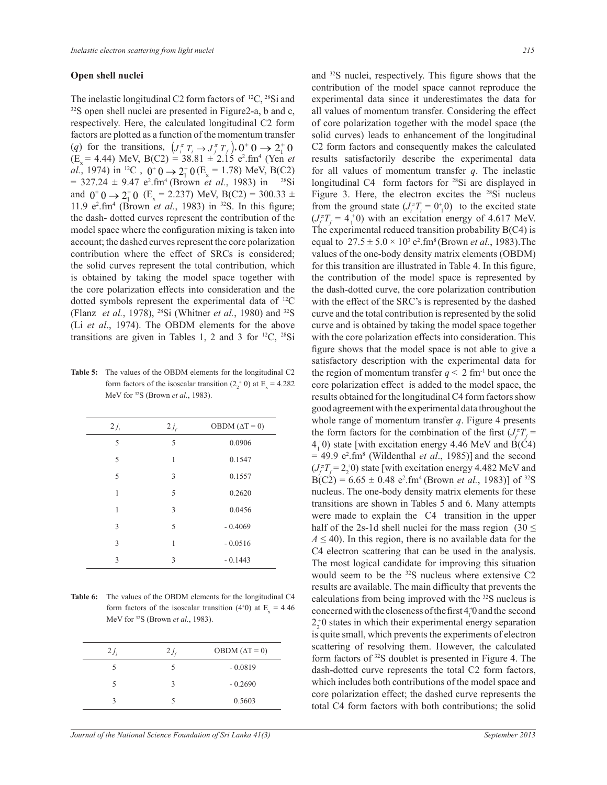### **Open shell nuclei**

The inelastic longitudinal C2 form factors of  $^{12}C$ ,  $^{28}Si$  and  $32S$  open shell nuclei are presented in Figure2-a, b and c, all values of momentum respectively. Here, the calculated longitudinal C2 form factors are plotted as a function of the momentum transfer (*q*) for the transitions,  $\left( J_i^{\pi} T_i \rightarrow J_j^{\pi} T_f \right)$ ,  $0^+ 0 \rightarrow 2^+ 0$  C2 form factors  $(E_x = 4.44)$  MeV, B(C2) = 38.81  $\pm 2.15$  e<sup>2</sup>.fm<sup>4</sup> (Yen *et al.*, 1974) in <sup>12</sup>C,  $0^+0 \rightarrow 2^+_10$  (E<sub>x</sub> = 1.78) MeV, B(C2)  $= 327.24 \pm 9.47$  e<sup>2</sup>.fm<sup>4</sup> (Brown *et al.*, 1983) in <sup>28</sup>Si and  $0^+0 \rightarrow 2^+0$  (E<sub>x</sub> = 2.237) MeV, B(C2) = 300.33 ± 11.9  $e^2$ .fm<sup>4</sup> (Brown *et al.*, 1983) in <sup>32</sup>S. In this figure; the dash- dotted curves represent the contribution of the model space where the configuration mixing is taken into account; the dashed curves represent the core polarization contribution where the effect of SRCs is considered; the solid curves represent the total contribution, which is obtained by taking the model space together with the core polarization effects into consideration and the dotted symbols represent the experimental data of <sup>12</sup>C (Flanz *et al.*, 1978), <sup>28</sup>Si (Whitner *et al.*, 1980) and <sup>32</sup>S (Li *et al*., 1974). The OBDM elements for the above transitions are given in Tables 1, 2 and 3 for  ${}^{12}C$ ,  ${}^{28}Si$ 

**Table 5:** The values of the OBDM elements for the longitudinal C2 form factors of the isoscalar transition  $(2<sub>2</sub><sup>+</sup> 0)$  at E<sub>x</sub> = 4.282 MeV for <sup>32</sup>S (Brown *et al.*, 1983).

| $2j_i$ | $2j_f$ | OBDM $(\Delta T = 0)$ |
|--------|--------|-----------------------|
| 5      | 5      | 0.0906                |
| 5      | 1      | 0.1547                |
| 5      | 3      | 0.1557                |
| 1      | 5      | 0.2620                |
| 1      | 3      | 0.0456                |
| 3      | 5      | $-0.4069$             |
| 3      | 1      | $-0.0516$             |
| 3      | 3      | $-0.1443$             |

**Table 6:** The values of the OBDM elements for the longitudinal C4 form factors of the isoscalar transition (4+0) at  $E_x = 4.46$ MeV for <sup>32</sup>S (Brown *et al.*, 1983).

| $2j_i$ | $2j_{\epsilon}$ | OBDM $(\Delta T = 0)$ |
|--------|-----------------|-----------------------|
|        |                 | $-0.0819$             |
|        | ς               | $-0.2690$             |
|        |                 | 0.5603                |
|        |                 |                       |

and <sup>32</sup>S nuclei, respectively. This figure shows that the contribution of the model space cannot reproduce the experimental data since it underestimates the data for all values of momentum transfer. Considering the effect of core polarization together with the model space (the solid curves) leads to enhancement of the longitudinal C2 form factors and consequently makes the calculated results satisfactorily describe the experimental data for all values of momentum transfer *q*. The inelastic longitudinal C4 form factors for <sup>28</sup>Si are displayed in Figure 3. Here, the electron excites the <sup>28</sup>Si nucleus from the ground state  $(J_i^{\pi}T_i = 0^{\dagger}0)$  to the excited state  $(J_f^{\pi}T_f = 4_1^{\pi}0)$  with an excitation energy of 4.617 MeV. The experimental reduced transition probability  $B(C4)$  is equal to  $27.5 \pm 5.0 \times 10^3$  e<sup>2</sup>.fm<sup>8</sup> (Brown *et al.*, 1983). The values of the one-body density matrix elements (OBDM) for this transition are illustrated in Table 4. In this figure, the contribution of the model space is represented by the dash-dotted curve, the core polarization contribution with the effect of the SRC's is represented by the dashed curve and the total contribution is represented by the solid curve and is obtained by taking the model space together with the core polarization effects into consideration. This figure shows that the model space is not able to give a satisfactory description with the experimental data for the region of momentum transfer  $q \leq 2$  fm<sup>-1</sup> but once the core polarization effect is added to the model space, the results obtained for the longitudinal C4 form factors show good agreement with the experimental data throughout the whole range of momentum transfer *q*. Figure 4 presents the form factors for the combination of the first  $(J_f^{\pi}T_f =$  $4^{+}_{1}$ (b) state [with excitation energy 4.46 MeV and B(C4)  $= 49.9$  e<sup>2</sup>.fm<sup>8</sup> (Wildenthal *et al.*, 1985)] and the second  $(J_f^{\pi}T_f = 2_2^{\pi}0)$  state [with excitation energy 4.482 MeV and  $B(C2) = 6.65 \pm 0.48$  e<sup>2</sup>.fm<sup>4</sup> (Brown *et al.*, 1983)] of <sup>32</sup>S nucleus. The one-body density matrix elements for these transitions are shown in Tables 5 and 6. Many attempts were made to explain the C4 transition in the upper half of the 2s-1d shell nuclei for the mass region (30  $\leq$  $A \leq 40$ ). In this region, there is no available data for the C4 electron scattering that can be used in the analysis. The most logical candidate for improving this situation would seem to be the <sup>32</sup>S nucleus where extensive C2 results are available. The main difficulty that prevents the calculations from being improved with the <sup>32</sup>S nucleus is concerned with the closeness of the first  $4_1^+$  and the second  $2<sub>2</sub><sup>+</sup>0$  states in which their experimental energy separation is quite small, which prevents the experiments of electron scattering of resolving them. However, the calculated form factors of <sup>32</sup>S doublet is presented in Figure 4. The dash-dotted curve represents the total C2 form factors, which includes both contributions of the model space and core polarization effect; the dashed curve represents the total C4 form factors with both contributions; the solid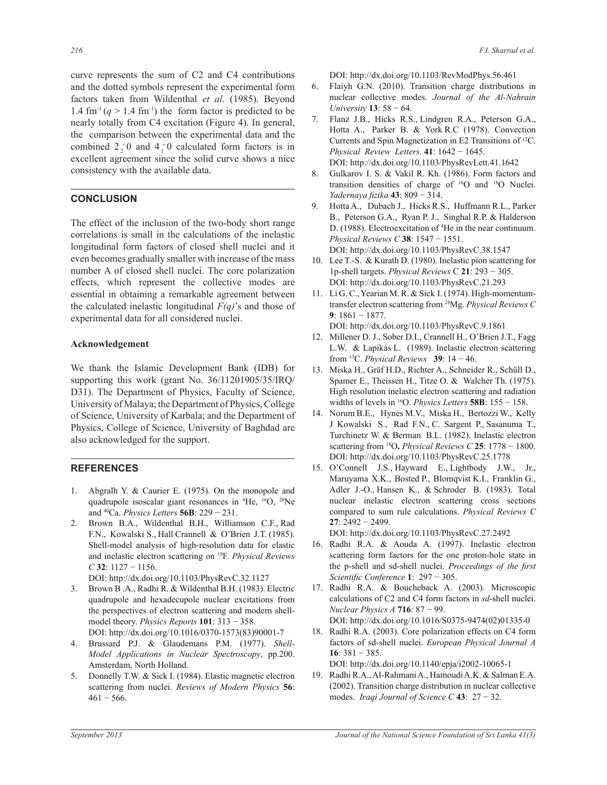curve represents the sum of C2 and C4 contributions and the dotted symbols represent the experimental form factors taken from Wildenthal *et al*. (1985). Beyond 1.4 fm<sup>-1</sup> ( $q > 1.4$  fm<sup>-1</sup>) the form factor is predicted to be nearly totally from C4 excitation (Figure 4). In general, the comparison between the experimental data and the combined  $2^{+}_{2}$  and  $4^{+}_{1}$  calculated form factors is in excellent agreement since the solid curve shows a nice consistency with the available data.

## **CONCLUSION**

The effect of the inclusion of the two-body short range correlations is small in the calculations of the inelastic longitudinal form factors of closed shell nuclei and it even becomes gradually smaller with increase of the mass number A of closed shell nuclei. The core polarization effects, which represent the collective modes are essential in obtaining a remarkable agreement between the calculated inelastic longitudinal *F(q)*'s and those of experimental data for all considered nuclei.

### **Acknowledgement**

We thank the Islamic Development Bank (IDB) for supporting this work (grant No. 36/11201905/35/IRQ/ D31). The Department of Physics, Faculty of Science, University of Malaya; the Department of Physics, College of Science, University of Karbala; and the Department of Physics, College of Science, University of Baghdad are also acknowledged for the support.

### **REFERENCES**

- Abgralh Y. & Caurier E. (1975). On the monopole and quadrupole isoscalar giant resonances in <sup>4</sup>He, <sup>16</sup>O, <sup>20</sup>Ne and <sup>40</sup>Ca. *Physics Letters* **56B**: 229 − 231. 1.
- Brown B.A., Wildenthal B.H., Williamson C.F., Rad F.N., Kowalski S., Hall Crannell & O'Brien J.T. (1985). Shell-model analysis of high-resolution data for elastic and inelastic electron scattering on <sup>19</sup>F. *Physical Reviews C* **32**: 1127 − 1156. 2.
	- DOI: http://dx.doi.org/10.1103/PhysRevC.32.1127
- Brown B .A., Radhi R. & Wildenthal B.H. (1983). Electric quadrupole and hexadecupole nuclear excitations from the perspectives of electron scattering and modern shellmodel theory. *Physics Reports* **101**: 313 − 358. DOI: http://dx.doi.org/10.1016/0370-1573(83)90001-7 3.
- Brussard P.J. & Glaudemans P.M. (1977). *Shell-Model Applications in Nuclear Spectroscopy*, pp.200. Amsterdam, North Holland. 4.
- 5. Donnelly T.W. & Sick I. (1984). Elastic magnetic electron scattering from nuclei. *Reviews of Modern Physics* **56**:  $461 - 566$ .

DOI: http://dx.doi.org/10.1103/RevModPhys.56.461

- Flaiyh G.N. (2010). Transition charge distributions in nuclear collective modes. *Journal of the Al-Nahrain University* **13**: 58 − 64. 6.
- Flanz J.B., Hicks R.S., Lindgren R.A., Peterson G.A., Hotta A., Parker B. & York R.C (1978). Convection Currents and Spin Magnetization in E2 Transitions of <sup>12</sup>C. *Physical Review Letters.* **41**: 1642 − 1645. DOI: http://dx.doi.org/10.1103/PhysRevLett.41.1642 7.
- Gulkarov I. S. & Vakil R. Kh. (1986). Form factors and transition densities of charge of <sup>16</sup>O and <sup>18</sup>O Nuclei. *Yadernaya fizika* **43**: 809 − 314. 8.
- Hotta A., Dubach J., Hicks R.S., Huffmann R.L., Parker B., Peterson G.A., Ryan P. J., Singhal R.P. & Halderson D. (1988). Electroexcitation of <sup>4</sup>He in the near continuum. *Physical Reviews C* **38**: 1547 − 1551. DOI: http://dx.doi.org/10.1103/PhysRevC.38.1547 9.
- 10. Lee T.-S. & Kurath D. (1980). Inelastic pion scattering for 1p-shell targets. *Physical Reviews* C **21**: 293 − 305. DOI: http://dx.doi.org/10.1103/PhysRevC.21.293
- 11. Li G. C., Yearian M. R. & Sick I. (1974). High-momentumtransfer electron scattering from <sup>24</sup>Mg. *Physical Reviews C* **9**: 1861 − 1877.

DOI: http://dx.doi.org/10.1103/PhysRevC.9.1861

- 12. Millener D. J., Sober D.I., Crannell H., O'Brien J.T., Fagg L.W. & Lapikás L. (1989). Inelastic electron scattering from <sup>13</sup>C. *Physical Reviews* **39**: 14 − 46.
- Miska H., Gräf H.D., Richter A., Schneider R., Schüll D., 13. Spamer E., Theissen H., Titze O. & Walcher Th. (1975). High resolution inelastic electron scattering and radiation widths of levels in <sup>16</sup>O. *Physics Letters* **58B**: 155 − 158.
- 14. Norum B.E., Hynes M.V., Miska H., Bertozzi W., Kelly J Kowalski S., Rad F.N., C. Sargent P., Sasanuma T., Turchinetz W. & Berman B.L. (1982). Inelastic electron scattering from <sup>18</sup>O**.** *Physical Reviews C* **25**: 1778 − 1800. DOI: http://dx.doi.org/10.1103/PhysRevC.25.1778
- 15. O'Connell J.S., Hayward E., Lightbody J.W., Jr., Maruyama X.K., Bosted P., Blomqvist K.I., Franklin G., Adler J.-O., Hansen K., & Schroder B. (1983). Total nuclear inelastic electron scattering cross sections compared to sum rule calculations. *Physical Reviews C* **27**: 2492 − 2499.

DOI: http://dx.doi.org/10.1103/PhysRevC.27.2492

- 16. Radhi R.A. & Aouda A. (1997). Inelastic electron scattering form factors for the one proton-hole state in the p-shell and sd-shell nuclei. *Proceedings of the first Scientific Conference* **1**: 297 − 305.
- 17. Radhi R.A. & Boucheback A. (2003). Microscopic calculations of C2 and C4 form factors in *sd*-shell nuclei. *Nuclear Physics A* **716**: 87 − 99. DOI: http://dx.doi.org/10.1016/S0375-9474(02)01335-0
- 18. Radhi R.A. (2003). Core polarization effects on C4 form factors of sd-shell nuclei. *European Physical Journal A* **16**: 381 − 385. DOI: http://dx.doi.org/10.1140/epja/i2002-10065-1
- Radhi R.A., Al-Rahmani A., Hamoudi A.K. & Salman E.A. 19.(2002). Transition charge distribution in nuclear collective modes. *Iraqi Journal of Science C* **43**: 27 − 32.